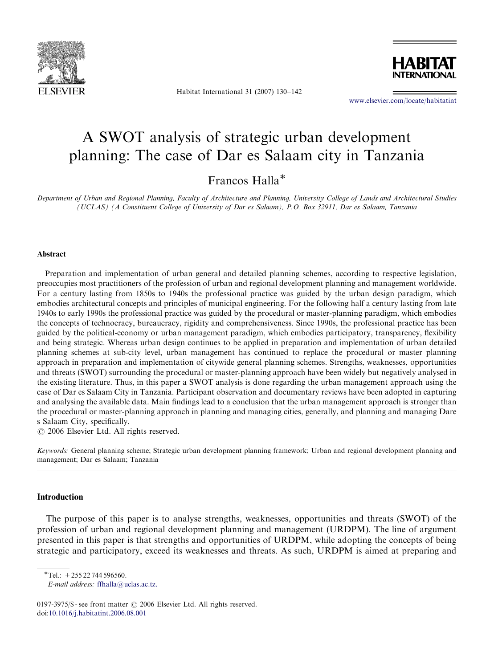

Habitat International 31 (2007) 130–142



<www.elsevier.com/locate/habitatint>

## A SWOT analysis of strategic urban development planning: The case of Dar es Salaam city in Tanzania

# Francos Halla\*

Department of Urban and Regional Planning, Faculty of Architecture and Planning, University College of Lands and Architectural Studies (UCLAS) (A Constituent College of University of Dar es Salaam), P.O. Box 32911, Dar es Salaam, Tanzania

#### Abstract

Preparation and implementation of urban general and detailed planning schemes, according to respective legislation, preoccupies most practitioners of the profession of urban and regional development planning and management worldwide. For a century lasting from 1850s to 1940s the professional practice was guided by the urban design paradigm, which embodies architectural concepts and principles of municipal engineering. For the following half a century lasting from late 1940s to early 1990s the professional practice was guided by the procedural or master-planning paradigm, which embodies the concepts of technocracy, bureaucracy, rigidity and comprehensiveness. Since 1990s, the professional practice has been guided by the political-economy or urban management paradigm, which embodies participatory, transparency, flexibility and being strategic. Whereas urban design continues to be applied in preparation and implementation of urban detailed planning schemes at sub-city level, urban management has continued to replace the procedural or master planning approach in preparation and implementation of citywide general planning schemes. Strengths, weaknesses, opportunities and threats (SWOT) surrounding the procedural or master-planning approach have been widely but negatively analysed in the existing literature. Thus, in this paper a SWOT analysis is done regarding the urban management approach using the case of Dar es Salaam City in Tanzania. Participant observation and documentary reviews have been adopted in capturing and analysing the available data. Main findings lead to a conclusion that the urban management approach is stronger than the procedural or master-planning approach in planning and managing cities, generally, and planning and managing Dare s Salaam City, specifically.

 $\odot$  2006 Elsevier Ltd. All rights reserved.

Keywords: General planning scheme; Strategic urban development planning framework; Urban and regional development planning and management; Dar es Salaam; Tanzania

### Introduction

The purpose of this paper is to analyse strengths, weaknesses, opportunities and threats (SWOT) of the profession of urban and regional development planning and management (URDPM). The line of argument presented in this paper is that strengths and opportunities of URDPM, while adopting the concepts of being strategic and participatory, exceed its weaknesses and threats. As such, URDPM is aimed at preparing and

 $\overline{\text{Tel..}}$  + 255 22 744 596560.

E-mail address: [ffhalla@uclas.ac.tz.](mailto:ffhalla@uclas.ac.tz)

0197-3975/\$ - see front matter  $\odot$  2006 Elsevier Ltd. All rights reserved. doi[:10.1016/j.habitatint.2006.08.001](dx.doi.org/10.1016/j.habitatint.2006.08.001)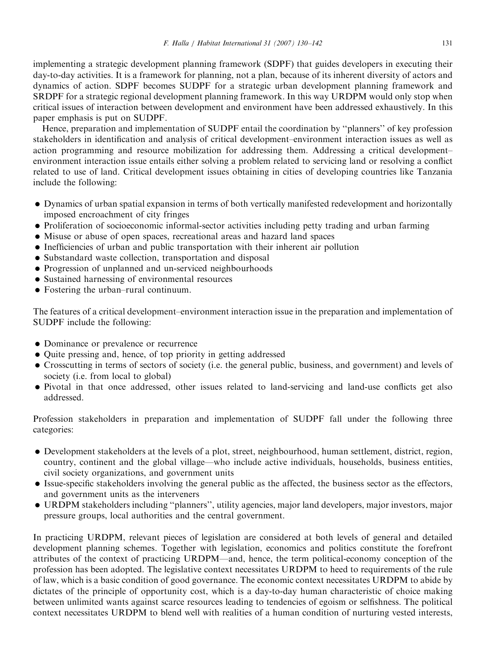implementing a strategic development planning framework (SDPF) that guides developers in executing their day-to-day activities. It is a framework for planning, not a plan, because of its inherent diversity of actors and dynamics of action. SDPF becomes SUDPF for a strategic urban development planning framework and SRDPF for a strategic regional development planning framework. In this way URDPM would only stop when critical issues of interaction between development and environment have been addressed exhaustively. In this paper emphasis is put on SUDPF.

Hence, preparation and implementation of SUDPF entail the coordination by ''planners'' of key profession stakeholders in identification and analysis of critical development–environment interaction issues as well as action programming and resource mobilization for addressing them. Addressing a critical development– environment interaction issue entails either solving a problem related to servicing land or resolving a conflict related to use of land. Critical development issues obtaining in cities of developing countries like Tanzania include the following:

- Dynamics of urban spatial expansion in terms of both vertically manifested redevelopment and horizontally imposed encroachment of city fringes
- Proliferation of socioeconomic informal-sector activities including petty trading and urban farming
- Misuse or abuse of open spaces, recreational areas and hazard land spaces
- Inefficiencies of urban and public transportation with their inherent air pollution
- Substandard waste collection, transportation and disposal
- Progression of unplanned and un-serviced neighbourhoods
- Sustained harnessing of environmental resources
- Fostering the urban–rural continuum.

The features of a critical development–environment interaction issue in the preparation and implementation of SUDPF include the following:

- Dominance or prevalence or recurrence
- Quite pressing and, hence, of top priority in getting addressed
- Crosscutting in terms of sectors of society (i.e. the general public, business, and government) and levels of society (i.e. from local to global)
- Pivotal in that once addressed, other issues related to land-servicing and land-use conflicts get also addressed.

Profession stakeholders in preparation and implementation of SUDPF fall under the following three categories:

- Development stakeholders at the levels of a plot, street, neighbourhood, human settlement, district, region, country, continent and the global village—who include active individuals, households, business entities, civil society organizations, and government units
- Issue-specific stakeholders involving the general public as the affected, the business sector as the effectors, and government units as the interveners
- URDPM stakeholders including ''planners'', utility agencies, major land developers, major investors, major pressure groups, local authorities and the central government.

In practicing URDPM, relevant pieces of legislation are considered at both levels of general and detailed development planning schemes. Together with legislation, economics and politics constitute the forefront attributes of the context of practicing URDPM—and, hence, the term political-economy conception of the profession has been adopted. The legislative context necessitates URDPM to heed to requirements of the rule of law, which is a basic condition of good governance. The economic context necessitates URDPM to abide by dictates of the principle of opportunity cost, which is a day-to-day human characteristic of choice making between unlimited wants against scarce resources leading to tendencies of egoism or selfishness. The political context necessitates URDPM to blend well with realities of a human condition of nurturing vested interests,